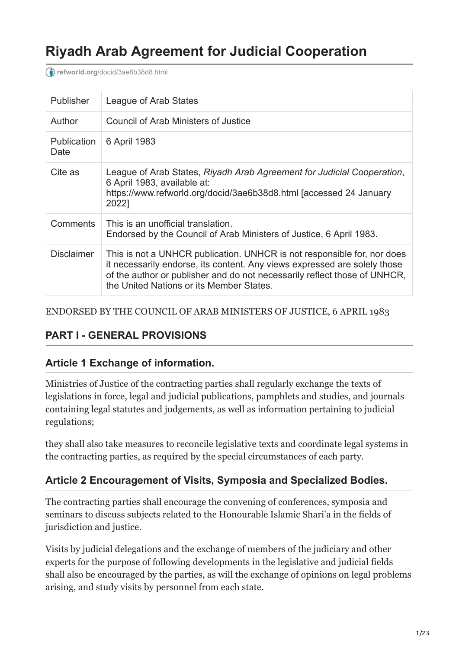# **Riyadh Arab Agreement for Judicial Cooperation**

**refworld.org**[/docid/3ae6b38d8.html](https://www.refworld.org/docid/3ae6b38d8.html)

| Publisher                  | <b>League of Arab States</b>                                                                                                                                                                                                                                                  |
|----------------------------|-------------------------------------------------------------------------------------------------------------------------------------------------------------------------------------------------------------------------------------------------------------------------------|
| Author                     | Council of Arab Ministers of Justice                                                                                                                                                                                                                                          |
| <b>Publication</b><br>Date | 6 April 1983                                                                                                                                                                                                                                                                  |
| Cite as                    | League of Arab States, Riyadh Arab Agreement for Judicial Cooperation,<br>6 April 1983, available at:<br>https://www.refworld.org/docid/3ae6b38d8.html [accessed 24 January<br>2022]                                                                                          |
| Comments                   | This is an unofficial translation.<br>Endorsed by the Council of Arab Ministers of Justice, 6 April 1983.                                                                                                                                                                     |
| <b>Disclaimer</b>          | This is not a UNHCR publication. UNHCR is not responsible for, nor does<br>it necessarily endorse, its content. Any views expressed are solely those<br>of the author or publisher and do not necessarily reflect those of UNHCR,<br>the United Nations or its Member States. |

ENDORSED BY THE COUNCIL OF ARAB MINISTERS OF JUSTICE, 6 APRIL 1983

### **PART I - GENERAL PROVISIONS**

#### **Article 1 Exchange of information.**

Ministries of Justice of the contracting parties shall regularly exchange the texts of legislations in force, legal and judicial publications, pamphlets and studies, and journals containing legal statutes and judgements, as well as information pertaining to judicial regulations;

they shall also take measures to reconcile legislative texts and coordinate legal systems in the contracting parties, as required by the special circumstances of each party.

### **Article 2 Encouragement of Visits, Symposia and Specialized Bodies.**

The contracting parties shall encourage the convening of conferences, symposia and seminars to discuss subjects related to the Honourable Islamic Shari'a in the fields of jurisdiction and justice.

Visits by judicial delegations and the exchange of members of the judiciary and other experts for the purpose of following developments in the legislative and judicial fields shall also be encouraged by the parties, as will the exchange of opinions on legal problems arising, and study visits by personnel from each state.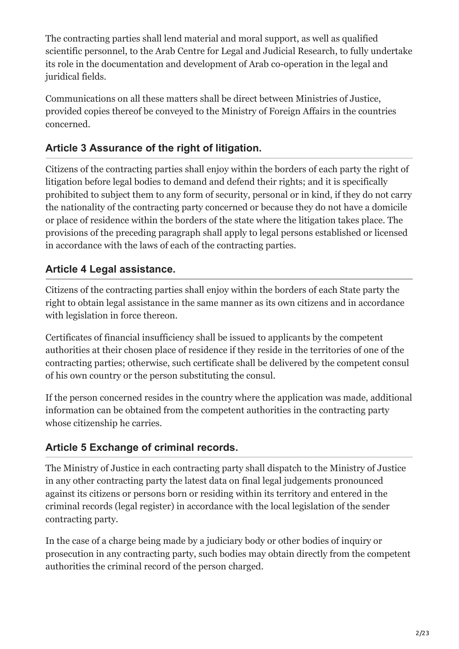The contracting parties shall lend material and moral support, as well as qualified scientific personnel, to the Arab Centre for Legal and Judicial Research, to fully undertake its role in the documentation and development of Arab co-operation in the legal and juridical fields.

Communications on all these matters shall be direct between Ministries of Justice, provided copies thereof be conveyed to the Ministry of Foreign Affairs in the countries concerned.

# **Article 3 Assurance of the right of litigation.**

Citizens of the contracting parties shall enjoy within the borders of each party the right of litigation before legal bodies to demand and defend their rights; and it is specifically prohibited to subject them to any form of security, personal or in kind, if they do not carry the nationality of the contracting party concerned or because they do not have a domicile or place of residence within the borders of the state where the litigation takes place. The provisions of the preceding paragraph shall apply to legal persons established or licensed in accordance with the laws of each of the contracting parties.

# **Article 4 Legal assistance.**

Citizens of the contracting parties shall enjoy within the borders of each State party the right to obtain legal assistance in the same manner as its own citizens and in accordance with legislation in force thereon.

Certificates of financial insufficiency shall be issued to applicants by the competent authorities at their chosen place of residence if they reside in the territories of one of the contracting parties; otherwise, such certificate shall be delivered by the competent consul of his own country or the person substituting the consul.

If the person concerned resides in the country where the application was made, additional information can be obtained from the competent authorities in the contracting party whose citizenship he carries.

# **Article 5 Exchange of criminal records.**

The Ministry of Justice in each contracting party shall dispatch to the Ministry of Justice in any other contracting party the latest data on final legal judgements pronounced against its citizens or persons born or residing within its territory and entered in the criminal records (legal register) in accordance with the local legislation of the sender contracting party.

In the case of a charge being made by a judiciary body or other bodies of inquiry or prosecution in any contracting party, such bodies may obtain directly from the competent authorities the criminal record of the person charged.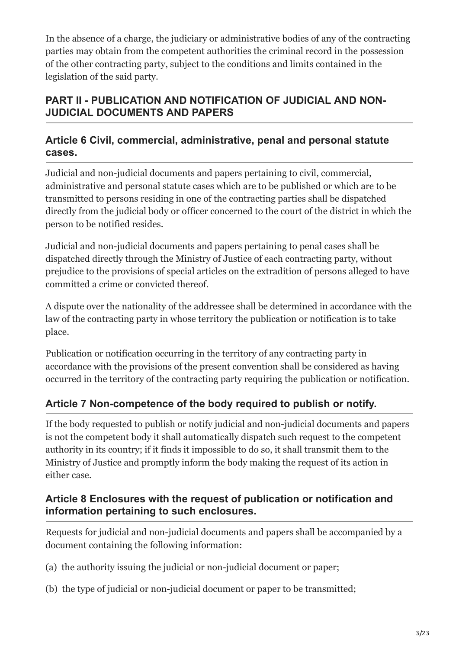In the absence of a charge, the judiciary or administrative bodies of any of the contracting parties may obtain from the competent authorities the criminal record in the possession of the other contracting party, subject to the conditions and limits contained in the legislation of the said party.

# **PART II - PUBLICATION AND NOTIFICATION OF JUDICIAL AND NON-JUDICIAL DOCUMENTS AND PAPERS**

### **Article 6 Civil, commercial, administrative, penal and personal statute cases.**

Judicial and non-judicial documents and papers pertaining to civil, commercial, administrative and personal statute cases which are to be published or which are to be transmitted to persons residing in one of the contracting parties shall be dispatched directly from the judicial body or officer concerned to the court of the district in which the person to be notified resides.

Judicial and non-judicial documents and papers pertaining to penal cases shall be dispatched directly through the Ministry of Justice of each contracting party, without prejudice to the provisions of special articles on the extradition of persons alleged to have committed a crime or convicted thereof.

A dispute over the nationality of the addressee shall be determined in accordance with the law of the contracting party in whose territory the publication or notification is to take place.

Publication or notification occurring in the territory of any contracting party in accordance with the provisions of the present convention shall be considered as having occurred in the territory of the contracting party requiring the publication or notification.

# **Article 7 Non-competence of the body required to publish or notify.**

If the body requested to publish or notify judicial and non-judicial documents and papers is not the competent body it shall automatically dispatch such request to the competent authority in its country; if it finds it impossible to do so, it shall transmit them to the Ministry of Justice and promptly inform the body making the request of its action in either case.

### **Article 8 Enclosures with the request of publication or notification and information pertaining to such enclosures.**

Requests for judicial and non-judicial documents and papers shall be accompanied by a document containing the following information:

- (a) the authority issuing the judicial or non-judicial document or paper;
- (b) the type of judicial or non-judicial document or paper to be transmitted;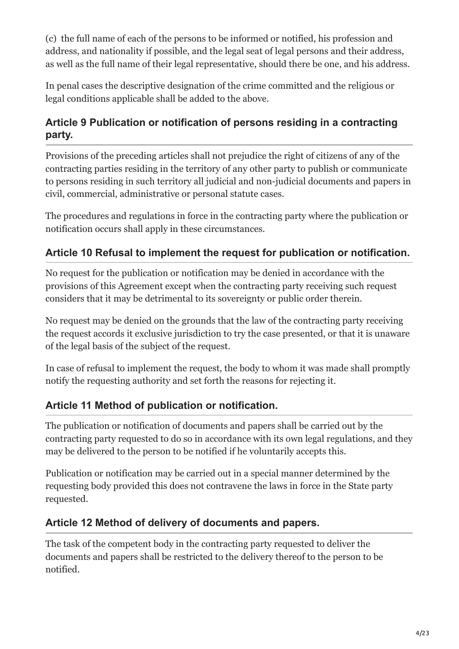(c) the full name of each of the persons to be informed or notified, his profession and address, and nationality if possible, and the legal seat of legal persons and their address, as well as the full name of their legal representative, should there be one, and his address.

In penal cases the descriptive designation of the crime committed and the religious or legal conditions applicable shall be added to the above.

# **Article 9 Publication or notification of persons residing in a contracting party.**

Provisions of the preceding articles shall not prejudice the right of citizens of any of the contracting parties residing in the territory of any other party to publish or communicate to persons residing in such territory all judicial and non-judicial documents and papers in civil, commercial, administrative or personal statute cases.

The procedures and regulations in force in the contracting party where the publication or notification occurs shall apply in these circumstances.

# **Article 10 Refusal to implement the request for publication or notification.**

No request for the publication or notification may be denied in accordance with the provisions of this Agreement except when the contracting party receiving such request considers that it may be detrimental to its sovereignty or public order therein.

No request may be denied on the grounds that the law of the contracting party receiving the request accords it exclusive jurisdiction to try the case presented, or that it is unaware of the legal basis of the subject of the request.

In case of refusal to implement the request, the body to whom it was made shall promptly notify the requesting authority and set forth the reasons for rejecting it.

# **Article 11 Method of publication or notification.**

The publication or notification of documents and papers shall be carried out by the contracting party requested to do so in accordance with its own legal regulations, and they may be delivered to the person to be notified if he voluntarily accepts this.

Publication or notification may be carried out in a special manner determined by the requesting body provided this does not contravene the laws in force in the State party requested.

### **Article 12 Method of delivery of documents and papers.**

The task of the competent body in the contracting party requested to deliver the documents and papers shall be restricted to the delivery thereof to the person to be notified.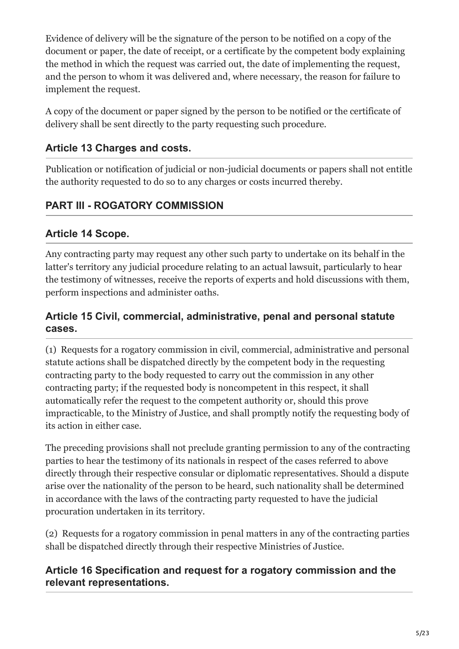Evidence of delivery will be the signature of the person to be notified on a copy of the document or paper, the date of receipt, or a certificate by the competent body explaining the method in which the request was carried out, the date of implementing the request, and the person to whom it was delivered and, where necessary, the reason for failure to implement the request.

A copy of the document or paper signed by the person to be notified or the certificate of delivery shall be sent directly to the party requesting such procedure.

# **Article 13 Charges and costs.**

Publication or notification of judicial or non-judicial documents or papers shall not entitle the authority requested to do so to any charges or costs incurred thereby.

# **PART III - ROGATORY COMMISSION**

### **Article 14 Scope.**

Any contracting party may request any other such party to undertake on its behalf in the latter's territory any judicial procedure relating to an actual lawsuit, particularly to hear the testimony of witnesses, receive the reports of experts and hold discussions with them, perform inspections and administer oaths.

### **Article 15 Civil, commercial, administrative, penal and personal statute cases.**

(1) Requests for a rogatory commission in civil, commercial, administrative and personal statute actions shall be dispatched directly by the competent body in the requesting contracting party to the body requested to carry out the commission in any other contracting party; if the requested body is noncompetent in this respect, it shall automatically refer the request to the competent authority or, should this prove impracticable, to the Ministry of Justice, and shall promptly notify the requesting body of its action in either case.

The preceding provisions shall not preclude granting permission to any of the contracting parties to hear the testimony of its nationals in respect of the cases referred to above directly through their respective consular or diplomatic representatives. Should a dispute arise over the nationality of the person to be heard, such nationality shall be determined in accordance with the laws of the contracting party requested to have the judicial procuration undertaken in its territory.

(2) Requests for a rogatory commission in penal matters in any of the contracting parties shall be dispatched directly through their respective Ministries of Justice.

### **Article 16 Specification and request for a rogatory commission and the relevant representations.**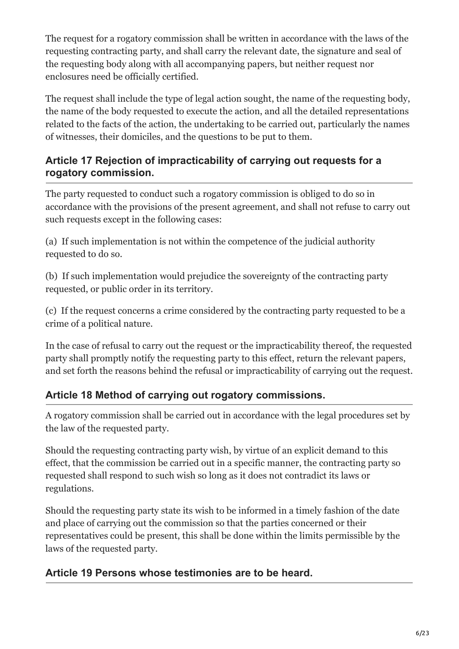The request for a rogatory commission shall be written in accordance with the laws of the requesting contracting party, and shall carry the relevant date, the signature and seal of the requesting body along with all accompanying papers, but neither request nor enclosures need be officially certified.

The request shall include the type of legal action sought, the name of the requesting body, the name of the body requested to execute the action, and all the detailed representations related to the facts of the action, the undertaking to be carried out, particularly the names of witnesses, their domiciles, and the questions to be put to them.

### **Article 17 Rejection of impracticability of carrying out requests for a rogatory commission.**

The party requested to conduct such a rogatory commission is obliged to do so in accordance with the provisions of the present agreement, and shall not refuse to carry out such requests except in the following cases:

(a) If such implementation is not within the competence of the judicial authority requested to do so.

(b) If such implementation would prejudice the sovereignty of the contracting party requested, or public order in its territory.

(c) If the request concerns a crime considered by the contracting party requested to be a crime of a political nature.

In the case of refusal to carry out the request or the impracticability thereof, the requested party shall promptly notify the requesting party to this effect, return the relevant papers, and set forth the reasons behind the refusal or impracticability of carrying out the request.

# **Article 18 Method of carrying out rogatory commissions.**

A rogatory commission shall be carried out in accordance with the legal procedures set by the law of the requested party.

Should the requesting contracting party wish, by virtue of an explicit demand to this effect, that the commission be carried out in a specific manner, the contracting party so requested shall respond to such wish so long as it does not contradict its laws or regulations.

Should the requesting party state its wish to be informed in a timely fashion of the date and place of carrying out the commission so that the parties concerned or their representatives could be present, this shall be done within the limits permissible by the laws of the requested party.

# **Article 19 Persons whose testimonies are to be heard.**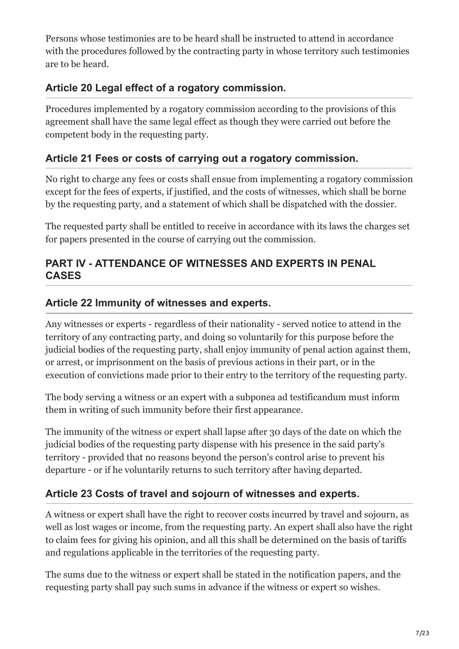Persons whose testimonies are to be heard shall be instructed to attend in accordance with the procedures followed by the contracting party in whose territory such testimonies are to be heard.

# **Article 20 Legal effect of a rogatory commission.**

Procedures implemented by a rogatory commission according to the provisions of this agreement shall have the same legal effect as though they were carried out before the competent body in the requesting party.

### **Article 21 Fees or costs of carrying out a rogatory commission.**

No right to charge any fees or costs shall ensue from implementing a rogatory commission except for the fees of experts, if justified, and the costs of witnesses, which shall be borne by the requesting party, and a statement of which shall be dispatched with the dossier.

The requested party shall be entitled to receive in accordance with its laws the charges set for papers presented in the course of carrying out the commission.

### **PART IV - ATTENDANCE OF WITNESSES AND EXPERTS IN PENAL CASES**

### **Article 22 Immunity of witnesses and experts.**

Any witnesses or experts - regardless of their nationality - served notice to attend in the territory of any contracting party, and doing so voluntarily for this purpose before the judicial bodies of the requesting party, shall enjoy immunity of penal action against them, or arrest, or imprisonment on the basis of previous actions in their part, or in the execution of convictions made prior to their entry to the territory of the requesting party.

The body serving a witness or an expert with a subponea ad testificandum must inform them in writing of such immunity before their first appearance.

The immunity of the witness or expert shall lapse after 30 days of the date on which the judicial bodies of the requesting party dispense with his presence in the said party's territory - provided that no reasons beyond the person's control arise to prevent his departure - or if he voluntarily returns to such territory after having departed.

# **Article 23 Costs of travel and sojourn of witnesses and experts.**

A witness or expert shall have the right to recover costs incurred by travel and sojourn, as well as lost wages or income, from the requesting party. An expert shall also have the right to claim fees for giving his opinion, and all this shall be determined on the basis of tariffs and regulations applicable in the territories of the requesting party.

The sums due to the witness or expert shall be stated in the notification papers, and the requesting party shall pay such sums in advance if the witness or expert so wishes.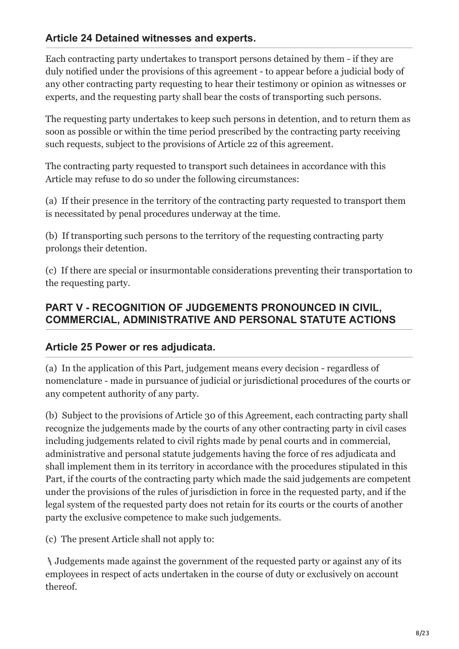### **Article 24 Detained witnesses and experts.**

Each contracting party undertakes to transport persons detained by them - if they are duly notified under the provisions of this agreement - to appear before a judicial body of any other contracting party requesting to hear their testimony or opinion as witnesses or experts, and the requesting party shall bear the costs of transporting such persons.

The requesting party undertakes to keep such persons in detention, and to return them as soon as possible or within the time period prescribed by the contracting party receiving such requests, subject to the provisions of Article 22 of this agreement.

The contracting party requested to transport such detainees in accordance with this Article may refuse to do so under the following circumstances:

(a) If their presence in the territory of the contracting party requested to transport them is necessitated by penal procedures underway at the time.

(b) If transporting such persons to the territory of the requesting contracting party prolongs their detention.

(c) If there are special or insurmontable considerations preventing their transportation to the requesting party.

### **PART V - RECOGNITION OF JUDGEMENTS PRONOUNCED IN CIVIL, COMMERCIAL, ADMINISTRATIVE AND PERSONAL STATUTE ACTIONS**

### **Article 25 Power or res adjudicata.**

(a) In the application of this Part, judgement means every decision - regardless of nomenclature - made in pursuance of judicial or jurisdictional procedures of the courts or any competent authority of any party.

(b) Subject to the provisions of Article 30 of this Agreement, each contracting party shall recognize the judgements made by the courts of any other contracting party in civil cases including judgements related to civil rights made by penal courts and in commercial, administrative and personal statute judgements having the force of res adjudicata and shall implement them in its territory in accordance with the procedures stipulated in this Part, if the courts of the contracting party which made the said judgements are competent under the provisions of the rules of jurisdiction in force in the requested party, and if the legal system of the requested party does not retain for its courts or the courts of another party the exclusive competence to make such judgements.

(c) The present Article shall not apply to:

Judgements made against the government of the requested party or against any of its employees in respect of acts undertaken in the course of duty or exclusively on account thereof.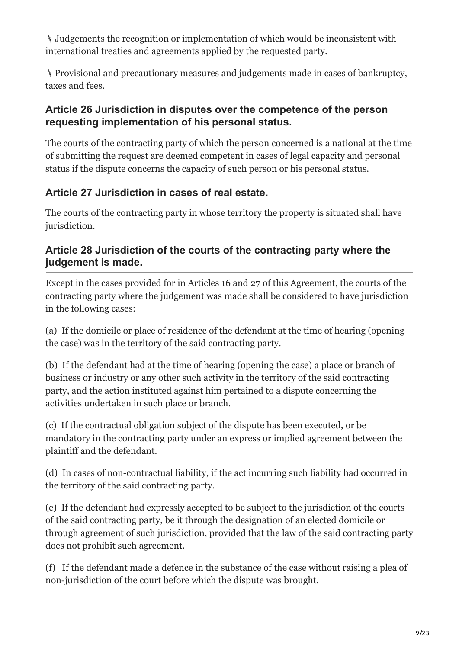Judgements the recognition or implementation of which would be inconsistent with international treaties and agreements applied by the requested party.

Provisional and precautionary measures and judgements made in cases of bankruptcy, taxes and fees.

### **Article 26 Jurisdiction in disputes over the competence of the person requesting implementation of his personal status.**

The courts of the contracting party of which the person concerned is a national at the time of submitting the request are deemed competent in cases of legal capacity and personal status if the dispute concerns the capacity of such person or his personal status.

# **Article 27 Jurisdiction in cases of real estate.**

The courts of the contracting party in whose territory the property is situated shall have jurisdiction.

### **Article 28 Jurisdiction of the courts of the contracting party where the judgement is made.**

Except in the cases provided for in Articles 16 and 27 of this Agreement, the courts of the contracting party where the judgement was made shall be considered to have jurisdiction in the following cases:

(a) If the domicile or place of residence of the defendant at the time of hearing (opening the case) was in the territory of the said contracting party.

(b) If the defendant had at the time of hearing (opening the case) a place or branch of business or industry or any other such activity in the territory of the said contracting party, and the action instituted against him pertained to a dispute concerning the activities undertaken in such place or branch.

(c) If the contractual obligation subject of the dispute has been executed, or be mandatory in the contracting party under an express or implied agreement between the plaintiff and the defendant.

(d) In cases of non-contractual liability, if the act incurring such liability had occurred in the territory of the said contracting party.

(e) If the defendant had expressly accepted to be subject to the jurisdiction of the courts of the said contracting party, be it through the designation of an elected domicile or through agreement of such jurisdiction, provided that the law of the said contracting party does not prohibit such agreement.

(f) If the defendant made a defence in the substance of the case without raising a plea of non-jurisdiction of the court before which the dispute was brought.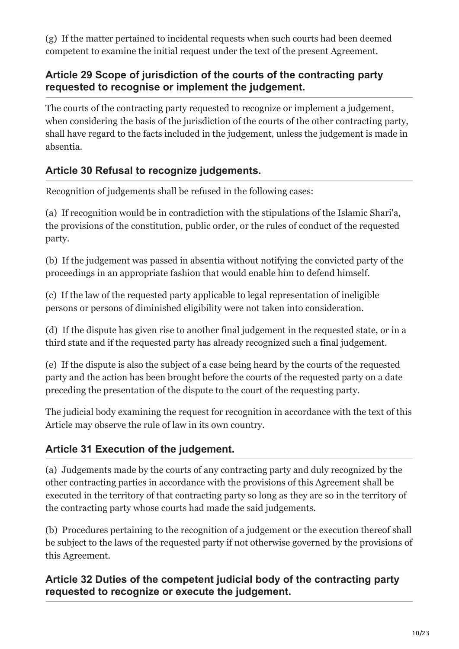(g) If the matter pertained to incidental requests when such courts had been deemed competent to examine the initial request under the text of the present Agreement.

### **Article 29 Scope of jurisdiction of the courts of the contracting party requested to recognise or implement the judgement.**

The courts of the contracting party requested to recognize or implement a judgement, when considering the basis of the jurisdiction of the courts of the other contracting party, shall have regard to the facts included in the judgement, unless the judgement is made in absentia.

# **Article 30 Refusal to recognize judgements.**

Recognition of judgements shall be refused in the following cases:

(a) If recognition would be in contradiction with the stipulations of the Islamic Shari'a, the provisions of the constitution, public order, or the rules of conduct of the requested party.

(b) If the judgement was passed in absentia without notifying the convicted party of the proceedings in an appropriate fashion that would enable him to defend himself.

(c) If the law of the requested party applicable to legal representation of ineligible persons or persons of diminished eligibility were not taken into consideration.

(d) If the dispute has given rise to another final judgement in the requested state, or in a third state and if the requested party has already recognized such a final judgement.

(e) If the dispute is also the subject of a case being heard by the courts of the requested party and the action has been brought before the courts of the requested party on a date preceding the presentation of the dispute to the court of the requesting party.

The judicial body examining the request for recognition in accordance with the text of this Article may observe the rule of law in its own country.

# **Article 31 Execution of the judgement.**

(a) Judgements made by the courts of any contracting party and duly recognized by the other contracting parties in accordance with the provisions of this Agreement shall be executed in the territory of that contracting party so long as they are so in the territory of the contracting party whose courts had made the said judgements.

(b) Procedures pertaining to the recognition of a judgement or the execution thereof shall be subject to the laws of the requested party if not otherwise governed by the provisions of this Agreement.

# **Article 32 Duties of the competent judicial body of the contracting party requested to recognize or execute the judgement.**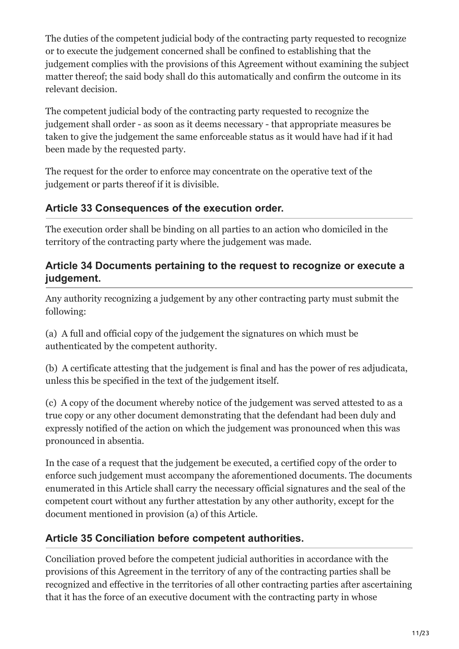The duties of the competent judicial body of the contracting party requested to recognize or to execute the judgement concerned shall be confined to establishing that the judgement complies with the provisions of this Agreement without examining the subject matter thereof; the said body shall do this automatically and confirm the outcome in its relevant decision.

The competent judicial body of the contracting party requested to recognize the judgement shall order - as soon as it deems necessary - that appropriate measures be taken to give the judgement the same enforceable status as it would have had if it had been made by the requested party.

The request for the order to enforce may concentrate on the operative text of the judgement or parts thereof if it is divisible.

# **Article 33 Consequences of the execution order.**

The execution order shall be binding on all parties to an action who domiciled in the territory of the contracting party where the judgement was made.

### **Article 34 Documents pertaining to the request to recognize or execute a judgement.**

Any authority recognizing a judgement by any other contracting party must submit the following:

(a) A full and official copy of the judgement the signatures on which must be authenticated by the competent authority.

(b) A certificate attesting that the judgement is final and has the power of res adjudicata, unless this be specified in the text of the judgement itself.

(c) A copy of the document whereby notice of the judgement was served attested to as a true copy or any other document demonstrating that the defendant had been duly and expressly notified of the action on which the judgement was pronounced when this was pronounced in absentia.

In the case of a request that the judgement be executed, a certified copy of the order to enforce such judgement must accompany the aforementioned documents. The documents enumerated in this Article shall carry the necessary official signatures and the seal of the competent court without any further attestation by any other authority, except for the document mentioned in provision (a) of this Article.

# **Article 35 Conciliation before competent authorities.**

Conciliation proved before the competent judicial authorities in accordance with the provisions of this Agreement in the territory of any of the contracting parties shall be recognized and effective in the territories of all other contracting parties after ascertaining that it has the force of an executive document with the contracting party in whose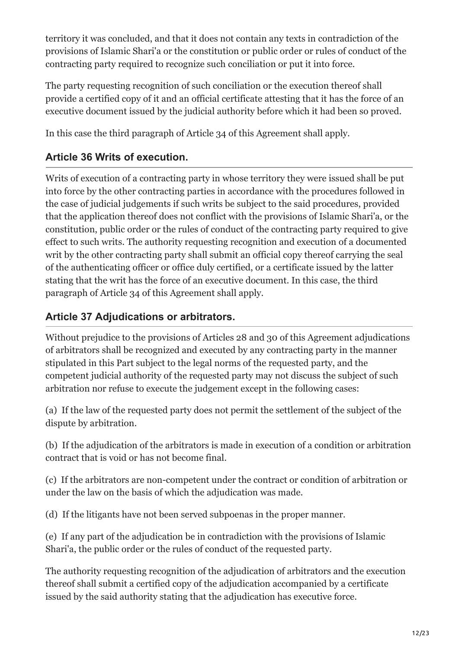territory it was concluded, and that it does not contain any texts in contradiction of the provisions of Islamic Shari'a or the constitution or public order or rules of conduct of the contracting party required to recognize such conciliation or put it into force.

The party requesting recognition of such conciliation or the execution thereof shall provide a certified copy of it and an official certificate attesting that it has the force of an executive document issued by the judicial authority before which it had been so proved.

In this case the third paragraph of Article 34 of this Agreement shall apply.

# **Article 36 Writs of execution.**

Writs of execution of a contracting party in whose territory they were issued shall be put into force by the other contracting parties in accordance with the procedures followed in the case of judicial judgements if such writs be subject to the said procedures, provided that the application thereof does not conflict with the provisions of Islamic Shari'a, or the constitution, public order or the rules of conduct of the contracting party required to give effect to such writs. The authority requesting recognition and execution of a documented writ by the other contracting party shall submit an official copy thereof carrying the seal of the authenticating officer or office duly certified, or a certificate issued by the latter stating that the writ has the force of an executive document. In this case, the third paragraph of Article 34 of this Agreement shall apply.

# **Article 37 Adjudications or arbitrators.**

Without prejudice to the provisions of Articles 28 and 30 of this Agreement adjudications of arbitrators shall be recognized and executed by any contracting party in the manner stipulated in this Part subject to the legal norms of the requested party, and the competent judicial authority of the requested party may not discuss the subject of such arbitration nor refuse to execute the judgement except in the following cases:

(a) If the law of the requested party does not permit the settlement of the subject of the dispute by arbitration.

(b) If the adjudication of the arbitrators is made in execution of a condition or arbitration contract that is void or has not become final.

(c) If the arbitrators are non-competent under the contract or condition of arbitration or under the law on the basis of which the adjudication was made.

(d) If the litigants have not been served subpoenas in the proper manner.

(e) If any part of the adjudication be in contradiction with the provisions of Islamic Shari'a, the public order or the rules of conduct of the requested party.

The authority requesting recognition of the adjudication of arbitrators and the execution thereof shall submit a certified copy of the adjudication accompanied by a certificate issued by the said authority stating that the adjudication has executive force.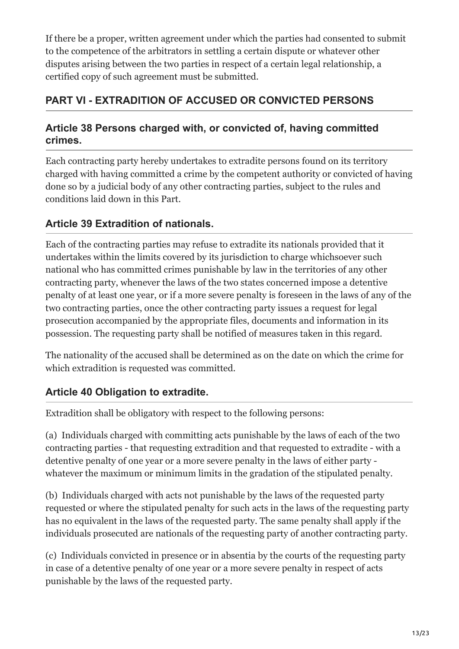If there be a proper, written agreement under which the parties had consented to submit to the competence of the arbitrators in settling a certain dispute or whatever other disputes arising between the two parties in respect of a certain legal relationship, a certified copy of such agreement must be submitted.

# **PART VI - EXTRADITION OF ACCUSED OR CONVICTED PERSONS**

### **Article 38 Persons charged with, or convicted of, having committed crimes.**

Each contracting party hereby undertakes to extradite persons found on its territory charged with having committed a crime by the competent authority or convicted of having done so by a judicial body of any other contracting parties, subject to the rules and conditions laid down in this Part.

# **Article 39 Extradition of nationals.**

Each of the contracting parties may refuse to extradite its nationals provided that it undertakes within the limits covered by its jurisdiction to charge whichsoever such national who has committed crimes punishable by law in the territories of any other contracting party, whenever the laws of the two states concerned impose a detentive penalty of at least one year, or if a more severe penalty is foreseen in the laws of any of the two contracting parties, once the other contracting party issues a request for legal prosecution accompanied by the appropriate files, documents and information in its possession. The requesting party shall be notified of measures taken in this regard.

The nationality of the accused shall be determined as on the date on which the crime for which extradition is requested was committed.

# **Article 40 Obligation to extradite.**

Extradition shall be obligatory with respect to the following persons:

(a) Individuals charged with committing acts punishable by the laws of each of the two contracting parties - that requesting extradition and that requested to extradite - with a detentive penalty of one year or a more severe penalty in the laws of either party whatever the maximum or minimum limits in the gradation of the stipulated penalty.

(b) Individuals charged with acts not punishable by the laws of the requested party requested or where the stipulated penalty for such acts in the laws of the requesting party has no equivalent in the laws of the requested party. The same penalty shall apply if the individuals prosecuted are nationals of the requesting party of another contracting party.

(c) Individuals convicted in presence or in absentia by the courts of the requesting party in case of a detentive penalty of one year or a more severe penalty in respect of acts punishable by the laws of the requested party.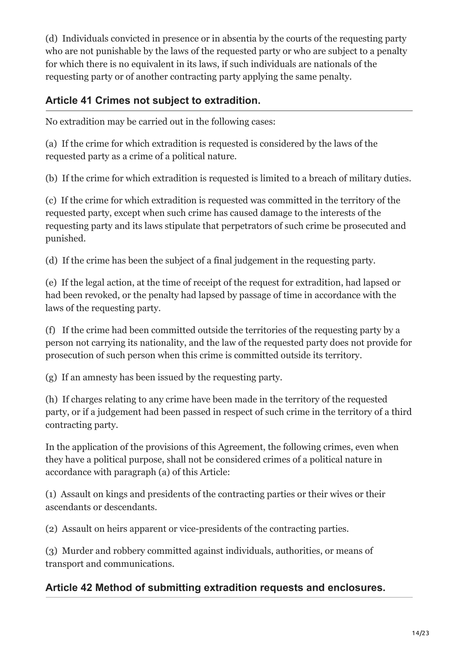(d) Individuals convicted in presence or in absentia by the courts of the requesting party who are not punishable by the laws of the requested party or who are subject to a penalty for which there is no equivalent in its laws, if such individuals are nationals of the requesting party or of another contracting party applying the same penalty.

# **Article 41 Crimes not subject to extradition.**

No extradition may be carried out in the following cases:

(a) If the crime for which extradition is requested is considered by the laws of the requested party as a crime of a political nature.

(b) If the crime for which extradition is requested is limited to a breach of military duties.

(c) If the crime for which extradition is requested was committed in the territory of the requested party, except when such crime has caused damage to the interests of the requesting party and its laws stipulate that perpetrators of such crime be prosecuted and punished.

(d) If the crime has been the subject of a final judgement in the requesting party.

(e) If the legal action, at the time of receipt of the request for extradition, had lapsed or had been revoked, or the penalty had lapsed by passage of time in accordance with the laws of the requesting party.

(f) If the crime had been committed outside the territories of the requesting party by a person not carrying its nationality, and the law of the requested party does not provide for prosecution of such person when this crime is committed outside its territory.

(g) If an amnesty has been issued by the requesting party.

(h) If charges relating to any crime have been made in the territory of the requested party, or if a judgement had been passed in respect of such crime in the territory of a third contracting party.

In the application of the provisions of this Agreement, the following crimes, even when they have a political purpose, shall not be considered crimes of a political nature in accordance with paragraph (a) of this Article:

(1) Assault on kings and presidents of the contracting parties or their wives or their ascendants or descendants.

(2) Assault on heirs apparent or vice-presidents of the contracting parties.

(3) Murder and robbery committed against individuals, authorities, or means of transport and communications.

# **Article 42 Method of submitting extradition requests and enclosures.**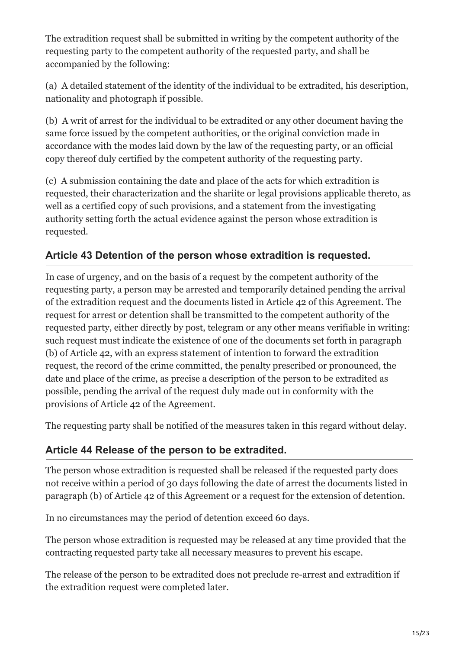The extradition request shall be submitted in writing by the competent authority of the requesting party to the competent authority of the requested party, and shall be accompanied by the following:

(a) A detailed statement of the identity of the individual to be extradited, his description, nationality and photograph if possible.

(b) A writ of arrest for the individual to be extradited or any other document having the same force issued by the competent authorities, or the original conviction made in accordance with the modes laid down by the law of the requesting party, or an official copy thereof duly certified by the competent authority of the requesting party.

(c) A submission containing the date and place of the acts for which extradition is requested, their characterization and the shariite or legal provisions applicable thereto, as well as a certified copy of such provisions, and a statement from the investigating authority setting forth the actual evidence against the person whose extradition is requested.

### **Article 43 Detention of the person whose extradition is requested.**

In case of urgency, and on the basis of a request by the competent authority of the requesting party, a person may be arrested and temporarily detained pending the arrival of the extradition request and the documents listed in Article 42 of this Agreement. The request for arrest or detention shall be transmitted to the competent authority of the requested party, either directly by post, telegram or any other means verifiable in writing: such request must indicate the existence of one of the documents set forth in paragraph (b) of Article 42, with an express statement of intention to forward the extradition request, the record of the crime committed, the penalty prescribed or pronounced, the date and place of the crime, as precise a description of the person to be extradited as possible, pending the arrival of the request duly made out in conformity with the provisions of Article 42 of the Agreement.

The requesting party shall be notified of the measures taken in this regard without delay.

### **Article 44 Release of the person to be extradited.**

The person whose extradition is requested shall be released if the requested party does not receive within a period of 30 days following the date of arrest the documents listed in paragraph (b) of Article 42 of this Agreement or a request for the extension of detention.

In no circumstances may the period of detention exceed 60 days.

The person whose extradition is requested may be released at any time provided that the contracting requested party take all necessary measures to prevent his escape.

The release of the person to be extradited does not preclude re-arrest and extradition if the extradition request were completed later.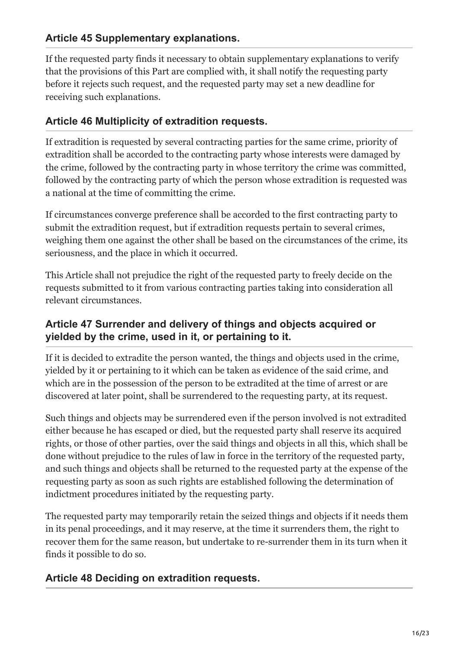# **Article 45 Supplementary explanations.**

If the requested party finds it necessary to obtain supplementary explanations to verify that the provisions of this Part are complied with, it shall notify the requesting party before it rejects such request, and the requested party may set a new deadline for receiving such explanations.

#### **Article 46 Multiplicity of extradition requests.**

If extradition is requested by several contracting parties for the same crime, priority of extradition shall be accorded to the contracting party whose interests were damaged by the crime, followed by the contracting party in whose territory the crime was committed, followed by the contracting party of which the person whose extradition is requested was a national at the time of committing the crime.

If circumstances converge preference shall be accorded to the first contracting party to submit the extradition request, but if extradition requests pertain to several crimes, weighing them one against the other shall be based on the circumstances of the crime, its seriousness, and the place in which it occurred.

This Article shall not prejudice the right of the requested party to freely decide on the requests submitted to it from various contracting parties taking into consideration all relevant circumstances.

### **Article 47 Surrender and delivery of things and objects acquired or yielded by the crime, used in it, or pertaining to it.**

If it is decided to extradite the person wanted, the things and objects used in the crime, yielded by it or pertaining to it which can be taken as evidence of the said crime, and which are in the possession of the person to be extradited at the time of arrest or are discovered at later point, shall be surrendered to the requesting party, at its request.

Such things and objects may be surrendered even if the person involved is not extradited either because he has escaped or died, but the requested party shall reserve its acquired rights, or those of other parties, over the said things and objects in all this, which shall be done without prejudice to the rules of law in force in the territory of the requested party, and such things and objects shall be returned to the requested party at the expense of the requesting party as soon as such rights are established following the determination of indictment procedures initiated by the requesting party.

The requested party may temporarily retain the seized things and objects if it needs them in its penal proceedings, and it may reserve, at the time it surrenders them, the right to recover them for the same reason, but undertake to re-surrender them in its turn when it finds it possible to do so.

### **Article 48 Deciding on extradition requests.**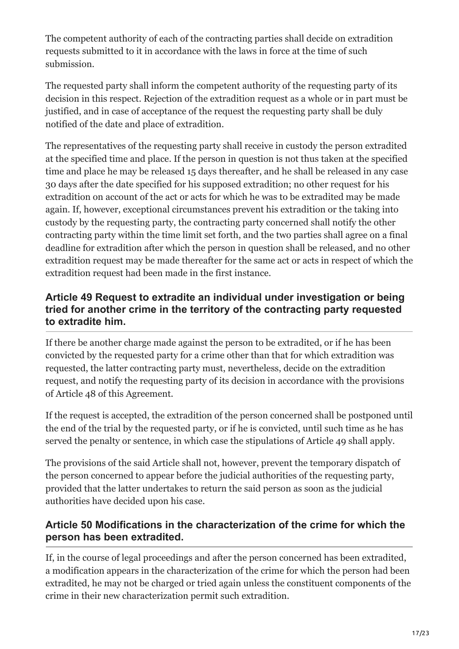The competent authority of each of the contracting parties shall decide on extradition requests submitted to it in accordance with the laws in force at the time of such submission.

The requested party shall inform the competent authority of the requesting party of its decision in this respect. Rejection of the extradition request as a whole or in part must be justified, and in case of acceptance of the request the requesting party shall be duly notified of the date and place of extradition.

The representatives of the requesting party shall receive in custody the person extradited at the specified time and place. If the person in question is not thus taken at the specified time and place he may be released 15 days thereafter, and he shall be released in any case 30 days after the date specified for his supposed extradition; no other request for his extradition on account of the act or acts for which he was to be extradited may be made again. If, however, exceptional circumstances prevent his extradition or the taking into custody by the requesting party, the contracting party concerned shall notify the other contracting party within the time limit set forth, and the two parties shall agree on a final deadline for extradition after which the person in question shall be released, and no other extradition request may be made thereafter for the same act or acts in respect of which the extradition request had been made in the first instance.

### **Article 49 Request to extradite an individual under investigation or being tried for another crime in the territory of the contracting party requested to extradite him.**

If there be another charge made against the person to be extradited, or if he has been convicted by the requested party for a crime other than that for which extradition was requested, the latter contracting party must, nevertheless, decide on the extradition request, and notify the requesting party of its decision in accordance with the provisions of Article 48 of this Agreement.

If the request is accepted, the extradition of the person concerned shall be postponed until the end of the trial by the requested party, or if he is convicted, until such time as he has served the penalty or sentence, in which case the stipulations of Article 49 shall apply.

The provisions of the said Article shall not, however, prevent the temporary dispatch of the person concerned to appear before the judicial authorities of the requesting party, provided that the latter undertakes to return the said person as soon as the judicial authorities have decided upon his case.

### **Article 50 Modifications in the characterization of the crime for which the person has been extradited.**

If, in the course of legal proceedings and after the person concerned has been extradited, a modification appears in the characterization of the crime for which the person had been extradited, he may not be charged or tried again unless the constituent components of the crime in their new characterization permit such extradition.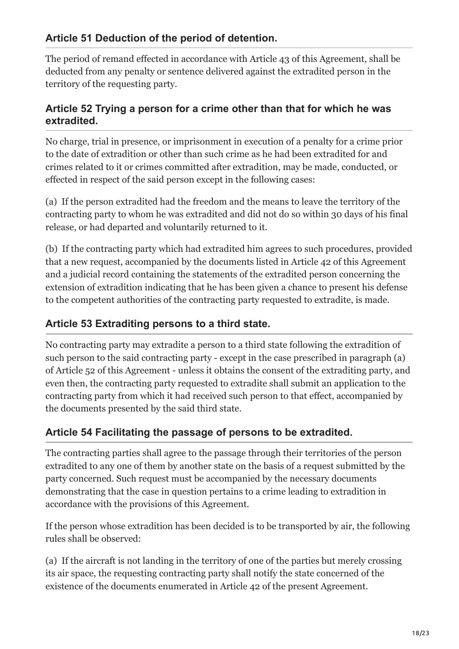### **Article 51 Deduction of the period of detention.**

The period of remand effected in accordance with Article 43 of this Agreement, shall be deducted from any penalty or sentence delivered against the extradited person in the territory of the requesting party.

### **Article 52 Trying a person for a crime other than that for which he was extradited.**

No charge, trial in presence, or imprisonment in execution of a penalty for a crime prior to the date of extradition or other than such crime as he had been extradited for and crimes related to it or crimes committed after extradition, may be made, conducted, or effected in respect of the said person except in the following cases:

(a) If the person extradited had the freedom and the means to leave the territory of the contracting party to whom he was extradited and did not do so within 30 days of his final release, or had departed and voluntarily returned to it.

(b) If the contracting party which had extradited him agrees to such procedures, provided that a new request, accompanied by the documents listed in Article 42 of this Agreement and a judicial record containing the statements of the extradited person concerning the extension of extradition indicating that he has been given a chance to present his defense to the competent authorities of the contracting party requested to extradite, is made.

# **Article 53 Extraditing persons to a third state.**

No contracting party may extradite a person to a third state following the extradition of such person to the said contracting party - except in the case prescribed in paragraph (a) of Article 52 of this Agreement - unless it obtains the consent of the extraditing party, and even then, the contracting party requested to extradite shall submit an application to the contracting party from which it had received such person to that effect, accompanied by the documents presented by the said third state.

### **Article 54 Facilitating the passage of persons to be extradited.**

The contracting parties shall agree to the passage through their territories of the person extradited to any one of them by another state on the basis of a request submitted by the party concerned. Such request must be accompanied by the necessary documents demonstrating that the case in question pertains to a crime leading to extradition in accordance with the provisions of this Agreement.

If the person whose extradition has been decided is to be transported by air, the following rules shall be observed:

(a) If the aircraft is not landing in the territory of one of the parties but merely crossing its air space, the requesting contracting party shall notify the state concerned of the existence of the documents enumerated in Article 42 of the present Agreement.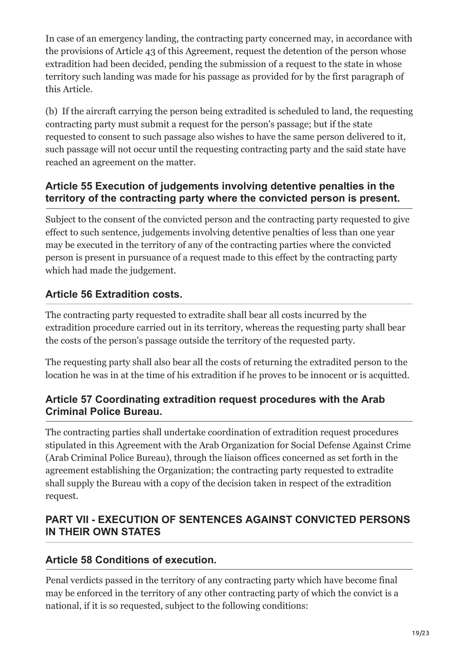In case of an emergency landing, the contracting party concerned may, in accordance with the provisions of Article 43 of this Agreement, request the detention of the person whose extradition had been decided, pending the submission of a request to the state in whose territory such landing was made for his passage as provided for by the first paragraph of this Article.

(b) If the aircraft carrying the person being extradited is scheduled to land, the requesting contracting party must submit a request for the person's passage; but if the state requested to consent to such passage also wishes to have the same person delivered to it, such passage will not occur until the requesting contracting party and the said state have reached an agreement on the matter.

# **Article 55 Execution of judgements involving detentive penalties in the territory of the contracting party where the convicted person is present.**

Subject to the consent of the convicted person and the contracting party requested to give effect to such sentence, judgements involving detentive penalties of less than one year may be executed in the territory of any of the contracting parties where the convicted person is present in pursuance of a request made to this effect by the contracting party which had made the judgement.

# **Article 56 Extradition costs.**

The contracting party requested to extradite shall bear all costs incurred by the extradition procedure carried out in its territory, whereas the requesting party shall bear the costs of the person's passage outside the territory of the requested party.

The requesting party shall also bear all the costs of returning the extradited person to the location he was in at the time of his extradition if he proves to be innocent or is acquitted.

### **Article 57 Coordinating extradition request procedures with the Arab Criminal Police Bureau.**

The contracting parties shall undertake coordination of extradition request procedures stipulated in this Agreement with the Arab Organization for Social Defense Against Crime (Arab Criminal Police Bureau), through the liaison offices concerned as set forth in the agreement establishing the Organization; the contracting party requested to extradite shall supply the Bureau with a copy of the decision taken in respect of the extradition request.

# **PART VII - EXECUTION OF SENTENCES AGAINST CONVICTED PERSONS IN THEIR OWN STATES**

# **Article 58 Conditions of execution.**

Penal verdicts passed in the territory of any contracting party which have become final may be enforced in the territory of any other contracting party of which the convict is a national, if it is so requested, subject to the following conditions: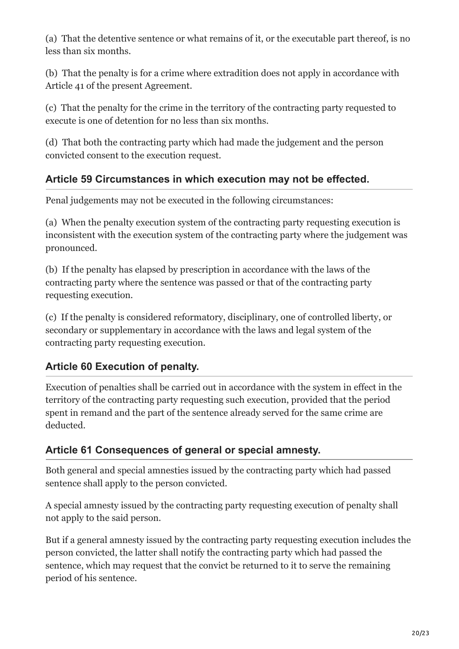(a) That the detentive sentence or what remains of it, or the executable part thereof, is no less than six months.

(b) That the penalty is for a crime where extradition does not apply in accordance with Article 41 of the present Agreement.

(c) That the penalty for the crime in the territory of the contracting party requested to execute is one of detention for no less than six months.

(d) That both the contracting party which had made the judgement and the person convicted consent to the execution request.

# **Article 59 Circumstances in which execution may not be effected.**

Penal judgements may not be executed in the following circumstances:

(a) When the penalty execution system of the contracting party requesting execution is inconsistent with the execution system of the contracting party where the judgement was pronounced.

(b) If the penalty has elapsed by prescription in accordance with the laws of the contracting party where the sentence was passed or that of the contracting party requesting execution.

(c) If the penalty is considered reformatory, disciplinary, one of controlled liberty, or secondary or supplementary in accordance with the laws and legal system of the contracting party requesting execution.

# **Article 60 Execution of penalty.**

Execution of penalties shall be carried out in accordance with the system in effect in the territory of the contracting party requesting such execution, provided that the period spent in remand and the part of the sentence already served for the same crime are deducted.

# **Article 61 Consequences of general or special amnesty.**

Both general and special amnesties issued by the contracting party which had passed sentence shall apply to the person convicted.

A special amnesty issued by the contracting party requesting execution of penalty shall not apply to the said person.

But if a general amnesty issued by the contracting party requesting execution includes the person convicted, the latter shall notify the contracting party which had passed the sentence, which may request that the convict be returned to it to serve the remaining period of his sentence.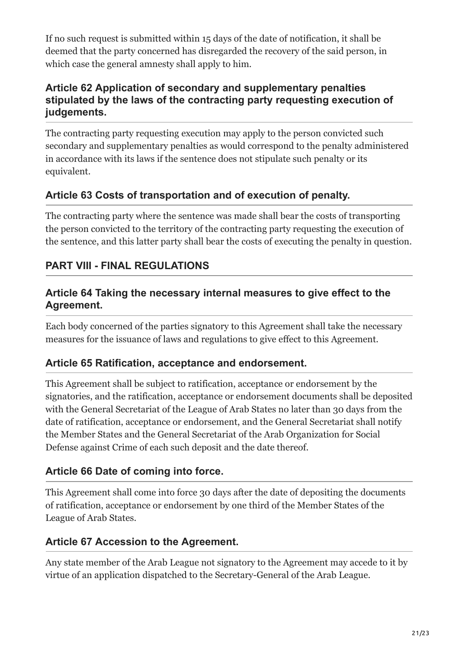If no such request is submitted within 15 days of the date of notification, it shall be deemed that the party concerned has disregarded the recovery of the said person, in which case the general amnesty shall apply to him.

### **Article 62 Application of secondary and supplementary penalties stipulated by the laws of the contracting party requesting execution of judgements.**

The contracting party requesting execution may apply to the person convicted such secondary and supplementary penalties as would correspond to the penalty administered in accordance with its laws if the sentence does not stipulate such penalty or its equivalent.

# **Article 63 Costs of transportation and of execution of penalty.**

The contracting party where the sentence was made shall bear the costs of transporting the person convicted to the territory of the contracting party requesting the execution of the sentence, and this latter party shall bear the costs of executing the penalty in question.

### **PART VIII - FINAL REGULATIONS**

### **Article 64 Taking the necessary internal measures to give effect to the Agreement.**

Each body concerned of the parties signatory to this Agreement shall take the necessary measures for the issuance of laws and regulations to give effect to this Agreement.

### **Article 65 Ratification, acceptance and endorsement.**

This Agreement shall be subject to ratification, acceptance or endorsement by the signatories, and the ratification, acceptance or endorsement documents shall be deposited with the General Secretariat of the League of Arab States no later than 30 days from the date of ratification, acceptance or endorsement, and the General Secretariat shall notify the Member States and the General Secretariat of the Arab Organization for Social Defense against Crime of each such deposit and the date thereof.

### **Article 66 Date of coming into force.**

This Agreement shall come into force 30 days after the date of depositing the documents of ratification, acceptance or endorsement by one third of the Member States of the League of Arab States.

### **Article 67 Accession to the Agreement.**

Any state member of the Arab League not signatory to the Agreement may accede to it by virtue of an application dispatched to the Secretary-General of the Arab League.